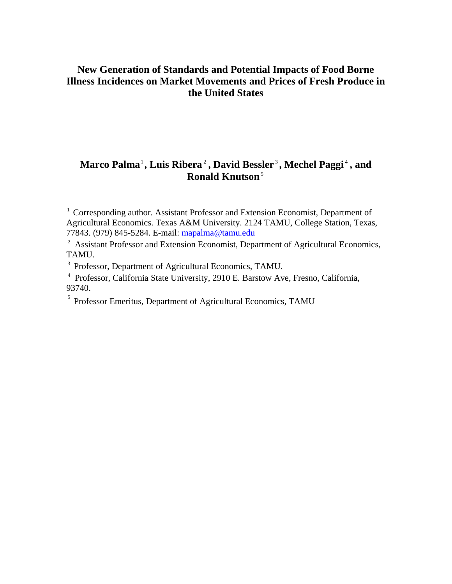### **Marco Palma**<sup>1</sup> **, Luis Ribera** <sup>2</sup> **, David Bessler** <sup>3</sup> **, Mechel Paggi** <sup>4</sup> **, and Ronald Knutson**<sup>5</sup>

<sup>1</sup> Corresponding author. Assistant Professor and Extension Economist, Department of Agricultural Economics. Texas A&M University. 2124 TAMU, College Station, Texas, 77843. (979) 845-5284. E-mail: mapalma@tamu.edu

<sup>2</sup> Assistant Professor and Extension Economist, Department of Agricultural Economics, TAMU.

<sup>3</sup> Professor, Department of Agricultural Economics, TAMU.

4 Professor, California State University, 2910 E. Barstow Ave, Fresno, California, 93740.

<sup>5</sup> Professor Emeritus, Department of Agricultural Economics, TAMU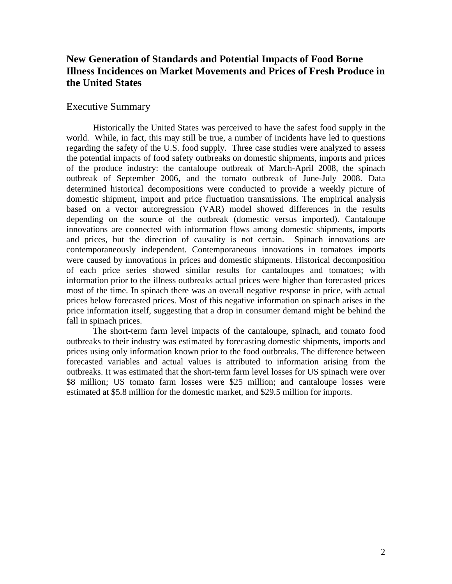#### Executive Summary

Historically the United States was perceived to have the safest food supply in the world. While, in fact, this may still be true, a number of incidents have led to questions regarding the safety of the U.S. food supply. Three case studies were analyzed to assess the potential impacts of food safety outbreaks on domestic shipments, imports and prices of the produce industry: the cantaloupe outbreak of March-April 2008, the spinach outbreak of September 2006, and the tomato outbreak of June-July 2008. Data determined historical decompositions were conducted to provide a weekly picture of domestic shipment, import and price fluctuation transmissions. The empirical analysis based on a vector autoregression (VAR) model showed differences in the results depending on the source of the outbreak (domestic versus imported). Cantaloupe innovations are connected with information flows among domestic shipments, imports and prices, but the direction of causality is not certain. Spinach innovations are contemporaneously independent. Contemporaneous innovations in tomatoes imports were caused by innovations in prices and domestic shipments. Historical decomposition of each price series showed similar results for cantaloupes and tomatoes; with information prior to the illness outbreaks actual prices were higher than forecasted prices most of the time. In spinach there was an overall negative response in price, with actual prices below forecasted prices. Most of this negative information on spinach arises in the price information itself, suggesting that a drop in consumer demand might be behind the fall in spinach prices.

The short-term farm level impacts of the cantaloupe, spinach, and tomato food outbreaks to their industry was estimated by forecasting domestic shipments, imports and prices using only information known prior to the food outbreaks. The difference between forecasted variables and actual values is attributed to information arising from the outbreaks. It was estimated that the short-term farm level losses for US spinach were over \$8 million; US tomato farm losses were \$25 million; and cantaloupe losses were estimated at \$5.8 million for the domestic market, and \$29.5 million for imports.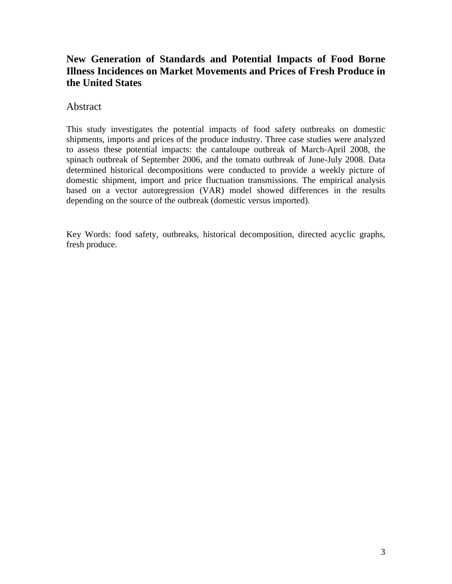### Abstract

This study investigates the potential impacts of food safety outbreaks on domestic shipments, imports and prices of the produce industry. Three case studies were analyzed to assess these potential impacts: the cantaloupe outbreak of March-April 2008, the spinach outbreak of September 2006, and the tomato outbreak of June-July 2008. Data determined historical decompositions were conducted to provide a weekly picture of domestic shipment, import and price fluctuation transmissions. The empirical analysis based on a vector autoregression (VAR) model showed differences in the results depending on the source of the outbreak (domestic versus imported).

Key Words: food safety, outbreaks, historical decomposition, directed acyclic graphs, fresh produce.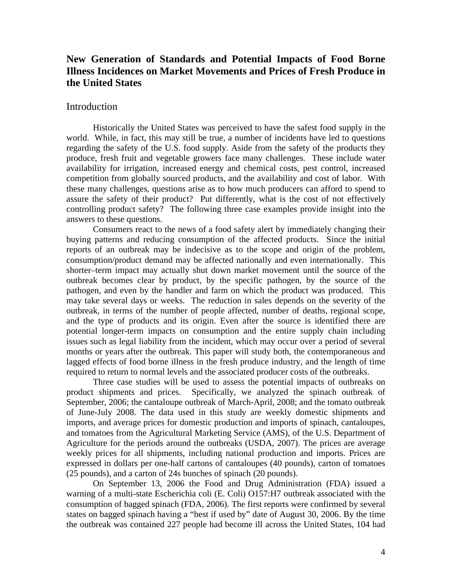#### Introduction

Historically the United States was perceived to have the safest food supply in the world. While, in fact, this may still be true, a number of incidents have led to questions regarding the safety of the U.S. food supply. Aside from the safety of the products they produce, fresh fruit and vegetable growers face many challenges. These include water availability for irrigation, increased energy and chemical costs, pest control, increased competition from globally sourced products, and the availability and cost of labor. With these many challenges, questions arise as to how much producers can afford to spend to assure the safety of their product? Put differently, what is the cost of not effectively controlling product safety? The following three case examples provide insight into the answers to these questions.

Consumers react to the news of a food safety alert by immediately changing their buying patterns and reducing consumption of the affected products. Since the initial reports of an outbreak may be indecisive as to the scope and origin of the problem, consumption/product demand may be affected nationally and even internationally. This shorter–term impact may actually shut down market movement until the source of the outbreak becomes clear by product, by the specific pathogen, by the source of the pathogen, and even by the handler and farm on which the product was produced. This may take several days or weeks. The reduction in sales depends on the severity of the outbreak, in terms of the number of people affected, number of deaths, regional scope, and the type of products and its origin. Even after the source is identified there are potential longer-term impacts on consumption and the entire supply chain including issues such as legal liability from the incident, which may occur over a period of several months or years after the outbreak. This paper will study both, the contemporaneous and lagged effects of food borne illness in the fresh produce industry, and the length of time required to return to normal levels and the associated producer costs of the outbreaks.

Three case studies will be used to assess the potential impacts of outbreaks on product shipments and prices. Specifically, we analyzed the spinach outbreak of September, 2006; the cantaloupe outbreak of March-April, 2008; and the tomato outbreak of June-July 2008. The data used in this study are weekly domestic shipments and imports, and average prices for domestic production and imports of spinach, cantaloupes, and tomatoes from the Agricultural Marketing Service (AMS), of the U.S. Department of Agriculture for the periods around the outbreaks (USDA, 2007). The prices are average weekly prices for all shipments, including national production and imports. Prices are expressed in dollars per one-half cartons of cantaloupes (40 pounds), carton of tomatoes (25 pounds), and a carton of 24s bunches of spinach (20 pounds).

On September 13, 2006 the Food and Drug Administration (FDA) issued a warning of a multi-state Escherichia coli (E. Coli) O157:H7 outbreak associated with the consumption of bagged spinach (FDA, 2006). The first reports were confirmed by several states on bagged spinach having a "best if used by" date of August 30, 2006. By the time the outbreak was contained 227 people had become ill across the United States, 104 had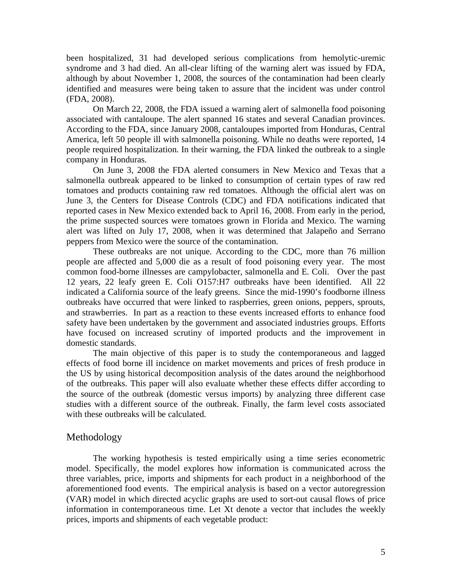been hospitalized, 31 had developed serious complications from hemolytic-uremic syndrome and 3 had died. An all-clear lifting of the warning alert was issued by FDA, although by about November 1, 2008, the sources of the contamination had been clearly identified and measures were being taken to assure that the incident was under control (FDA, 2008).

On March 22, 2008, the FDA issued a warning alert of salmonella food poisoning associated with cantaloupe. The alert spanned 16 states and several Canadian provinces. According to the FDA, since January 2008, cantaloupes imported from Honduras, Central America, left 50 people ill with salmonella poisoning. While no deaths were reported, 14 people required hospitalization. In their warning, the FDA linked the outbreak to a single company in Honduras.

On June 3, 2008 the FDA alerted consumers in New Mexico and Texas that a salmonella outbreak appeared to be linked to consumption of certain types of raw red tomatoes and products containing raw red tomatoes. Although the official alert was on June 3, the Centers for Disease Controls (CDC) and FDA notifications indicated that reported cases in New Mexico extended back to April 16, 2008. From early in the period, the prime suspected sources were tomatoes grown in Florida and Mexico. The warning alert was lifted on July 17, 2008, when it was determined that Jalapeño and Serrano peppers from Mexico were the source of the contamination.

These outbreaks are not unique. According to the CDC, more than 76 million people are affected and 5,000 die as a result of food poisoning every year. The most common food-borne illnesses are campylobacter, salmonella and E. Coli. Over the past 12 years, 22 leafy green E. Coli O157:H7 outbreaks have been identified. All 22 indicated a California source of the leafy greens. Since the mid-1990's foodborne illness outbreaks have occurred that were linked to raspberries, green onions, peppers, sprouts, and strawberries. In part as a reaction to these events increased efforts to enhance food safety have been undertaken by the government and associated industries groups. Efforts have focused on increased scrutiny of imported products and the improvement in domestic standards.

The main objective of this paper is to study the contemporaneous and lagged effects of food borne ill incidence on market movements and prices of fresh produce in the US by using historical decomposition analysis of the dates around the neighborhood of the outbreaks. This paper will also evaluate whether these effects differ according to the source of the outbreak (domestic versus imports) by analyzing three different case studies with a different source of the outbreak. Finally, the farm level costs associated with these outbreaks will be calculated.

#### Methodology

The working hypothesis is tested empirically using a time series econometric model. Specifically, the model explores how information is communicated across the three variables, price, imports and shipments for each product in a neighborhood of the aforementioned food events. The empirical analysis is based on a vector autoregression (VAR) model in which directed acyclic graphs are used to sort-out causal flows of price information in contemporaneous time. Let Xt denote a vector that includes the weekly prices, imports and shipments of each vegetable product: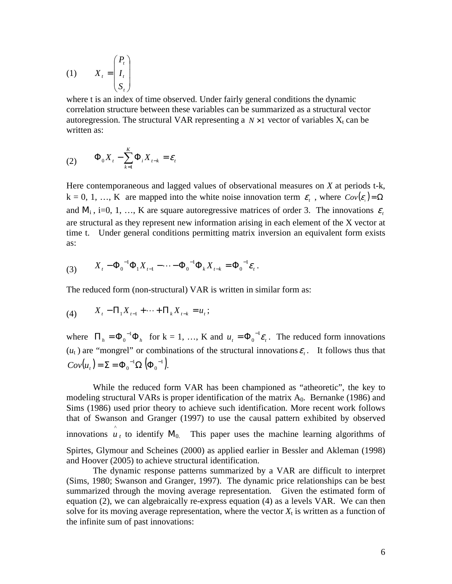$$
(1) \qquad X_t = \begin{pmatrix} P_t \\ I_t \\ S_t \end{pmatrix}
$$

where t is an index of time observed. Under fairly general conditions the dynamic correlation structure between these variables can be summarized as a structural vector autoregression. The structural VAR representing a  $N \times 1$  vector of variables  $X_t$  can be written as:

$$
(2) \qquad \Phi_0 X_t - \sum_{k=1}^K \Phi_i X_{t-k} = \varepsilon_t
$$

Here contemporaneous and lagged values of observational measures on *X* at periods t-k,  $k = 0, 1, ..., K$  are mapped into the white noise innovation term  $\varepsilon_t$ , where  $Cov(\varepsilon_t) = \Omega$ and  $M_i$ , i=0, 1, ..., K are square autoregressive matrices of order 3. The innovations  $\varepsilon$ are structural as they represent new information arising in each element of the X vector at time t. Under general conditions permitting matrix inversion an equivalent form exists as:

(3) 
$$
X_t - \Phi_0^{-1} \Phi_1 X_{t-1} - \cdots - \Phi_0^{-1} \Phi_k X_{t-k} = \Phi_0^{-1} \varepsilon_t.
$$

The reduced form (non-structural) VAR is written in similar form as:

(4) 
$$
X_t - \Pi_1 X_{t-1} + \cdots + \Pi_k X_{t-k} = u_t;
$$

where  $\Pi_h = \Phi_0^{-1} \Phi_h$  $v_0^{-1} \Phi_h$  for  $k = 1, ..., K$  and  $u_t = \Phi_0^{-1} \varepsilon_t$ 0  $=\Phi_0^{-1}\varepsilon_t$ . The reduced form innovations  $(u_t)$  are "mongrel" or combinations of the structural innovations  $\varepsilon_t$ . It follows thus that  $(u_{_t}) = \Sigma = \Phi_0^{-1} \Omega \phi_0^{-1}$ . 0 1 0  $Cov(u_t) = \Sigma = \Phi_0^{-1} \Omega \left( \Phi_0 \right)$ 

While the reduced form VAR has been championed as "atheoretic", the key to modeling structural VARs is proper identification of the matrix  $A_0$ . Bernanke (1986) and Sims (1986) used prior theory to achieve such identification. More recent work follows that of Swanson and Granger (1997) to use the causal pattern exhibited by observed innovations  $\hat{u}_t$  to identify M<sub>0.</sub> This paper uses the machine learning algorithms of Spirtes, Glymour and Scheines (2000) as applied earlier in Bessler and Akleman (1998) and Hoover (2005) to achieve structural identification.

The dynamic response patterns summarized by a VAR are difficult to interpret (Sims, 1980; Swanson and Granger, 1997). The dynamic price relationships can be best summarized through the moving average representation. Given the estimated form of equation (2), we can algebraically re-express equation (4) as a levels VAR. We can then solve for its moving average representation, where the vector  $X_t$  is written as a function of the infinite sum of past innovations: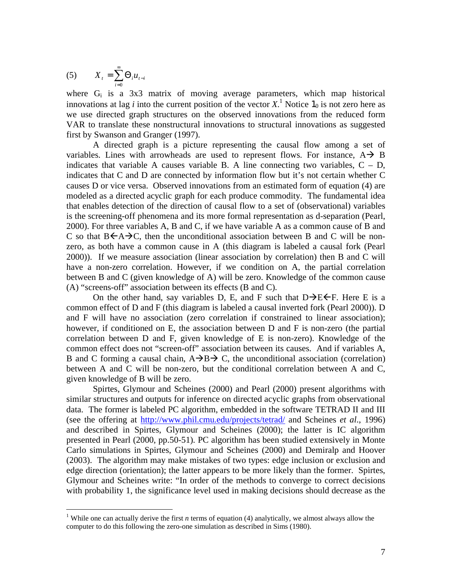$$
(5) \qquad X_t = \sum_{i=0}^{\infty} \Theta_i u_{t-i}
$$

where G<sub>i</sub> is a 3x3 matrix of moving average parameters, which map historical innovations at lag *i* into the current position of the vector  $X$ .<sup>1</sup> Notice  $1_0$  is not zero here as we use directed graph structures on the observed innovations from the reduced form VAR to translate these nonstructural innovations to structural innovations as suggested first by Swanson and Granger (1997).

 A directed graph is a picture representing the causal flow among a set of variables. Lines with arrowheads are used to represent flows. For instance,  $A \rightarrow B$ indicates that variable A causes variable B. A line connecting two variables,  $C - D$ , indicates that C and D are connected by information flow but it's not certain whether C causes D or vice versa. Observed innovations from an estimated form of equation (4) are modeled as a directed acyclic graph for each produce commodity. The fundamental idea that enables detection of the direction of causal flow to a set of (observational) variables is the screening-off phenomena and its more formal representation as d-separation (Pearl, 2000). For three variables A, B and C, if we have variable A as a common cause of B and C so that  $B\leftarrow A\rightarrow C$ , then the unconditional association between B and C will be nonzero, as both have a common cause in A (this diagram is labeled a causal fork (Pearl 2000)). If we measure association (linear association by correlation) then B and C will have a non-zero correlation. However, if we condition on A, the partial correlation between B and C (given knowledge of A) will be zero. Knowledge of the common cause (A) "screens-off" association between its effects (B and C).

On the other hand, say variables D, E, and F such that  $D\rightarrow E \leftarrow F$ . Here E is a common effect of D and F (this diagram is labeled a causal inverted fork (Pearl 2000)). D and F will have no association (zero correlation if constrained to linear association); however, if conditioned on E, the association between D and F is non-zero (the partial correlation between D and F, given knowledge of E is non-zero). Knowledge of the common effect does not "screen-off" association between its causes. And if variables A, B and C forming a causal chain,  $A\rightarrow B\rightarrow C$ , the unconditional association (correlation) between A and C will be non-zero, but the conditional correlation between A and C, given knowledge of B will be zero.

 Spirtes, Glymour and Scheines (2000) and Pearl (2000) present algorithms with similar structures and outputs for inference on directed acyclic graphs from observational data. The former is labeled PC algorithm, embedded in the software TETRAD II and III (see the offering at http://www.phil.cmu.edu/projects/tetrad/ and Scheines *et al*., 1996) and described in Spirtes, Glymour and Scheines (2000); the latter is IC algorithm presented in Pearl (2000, pp.50-51). PC algorithm has been studied extensively in Monte Carlo simulations in Spirtes, Glymour and Scheines (2000) and Demiralp and Hoover (2003). The algorithm may make mistakes of two types: edge inclusion or exclusion and edge direction (orientation); the latter appears to be more likely than the former. Spirtes, Glymour and Scheines write: "In order of the methods to converge to correct decisions with probability 1, the significance level used in making decisions should decrease as the

<sup>&</sup>lt;sup>1</sup> While one can actually derive the first *n* terms of equation (4) analytically, we almost always allow the computer to do this following the zero-one simulation as described in Sims (1980).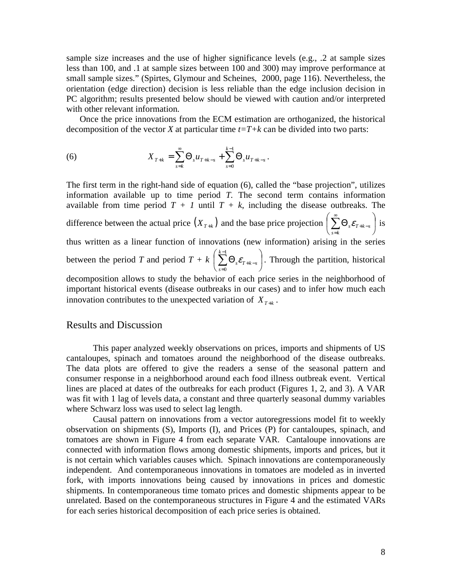sample size increases and the use of higher significance levels (e.g., .2 at sample sizes less than 100, and .1 at sample sizes between 100 and 300) may improve performance at small sample sizes." (Spirtes, Glymour and Scheines, 2000, page 116). Nevertheless, the orientation (edge direction) decision is less reliable than the edge inclusion decision in PC algorithm; results presented below should be viewed with caution and/or interpreted with other relevant information.

Once the price innovations from the ECM estimation are orthoganized, the historical decomposition of the vector *X* at particular time  $t=T+k$  can be divided into two parts:

(6) 
$$
X_{T+k} = \sum_{s=k}^{\infty} \Theta_s u_{T+k-s} + \sum_{s=0}^{k-1} \Theta_s u_{T+k-s}.
$$

The first term in the right-hand side of equation (6), called the "base projection", utilizes information available up to time period *T.* The second term contains information available from time period  $T + I$  until  $T + k$ , including the disease outbreaks. The difference between the actual price  $(X_{T+k})$  and the base price projection  $\sum \Theta_{s} \mathcal{E}_{T+k-s}$ J  $\left(\sum_{i=1}^{n} \Theta_{i} \mathcal{E}_{T+k-s}\right)$ l ſ  $\Theta_{_S}\mathcal{E}_{_{T+k-}}$ ∞ =  $\sum\limits_{}^{\sim} \Theta_{_S} \mathcal{E}_{_{T+k-s}}$ *s k*  $\sum_{s} \mathcal{E}_{T+k-s}$  is thus written as a linear function of innovations (new information) arising in the series between the period *T* and period  $T + k \nvert \sum \Theta_i \mathcal{E}_{T+k-s} \nvert$ J  $\left(\sum_{k=1}^{k-1}\Theta_{\cdot}\bm{\mathcal{E}}_{\tau_{\pm k-\mathrm{c}}}\right)$ l ſ  $\Theta_{_S}\mathcal{E}_{T+k-}$ − =  $\sum\limits_{k=1}^{k-1}\Theta_{_s}\mathcal{E}_{T+k-s}$ *s s* ε 1  $\mathbf{0}$ . Through the partition, historical decomposition allows to study the behavior of each price series in the neighborhood of

important historical events (disease outbreaks in our cases) and to infer how much each innovation contributes to the unexpected variation of  $X_{T+k}$ .

### Results and Discussion

This paper analyzed weekly observations on prices, imports and shipments of US cantaloupes, spinach and tomatoes around the neighborhood of the disease outbreaks. The data plots are offered to give the readers a sense of the seasonal pattern and consumer response in a neighborhood around each food illness outbreak event. Vertical lines are placed at dates of the outbreaks for each product (Figures 1, 2, and 3). A VAR was fit with 1 lag of levels data, a constant and three quarterly seasonal dummy variables where Schwarz loss was used to select lag length.

Causal pattern on innovations from a vector autoregressions model fit to weekly observation on shipments (S), Imports (I), and Prices (P) for cantaloupes, spinach, and tomatoes are shown in Figure 4 from each separate VAR. Cantaloupe innovations are connected with information flows among domestic shipments, imports and prices, but it is not certain which variables causes which. Spinach innovations are contemporaneously independent. And contemporaneous innovations in tomatoes are modeled as in inverted fork, with imports innovations being caused by innovations in prices and domestic shipments. In contemporaneous time tomato prices and domestic shipments appear to be unrelated. Based on the contemporaneous structures in Figure 4 and the estimated VARs for each series historical decomposition of each price series is obtained.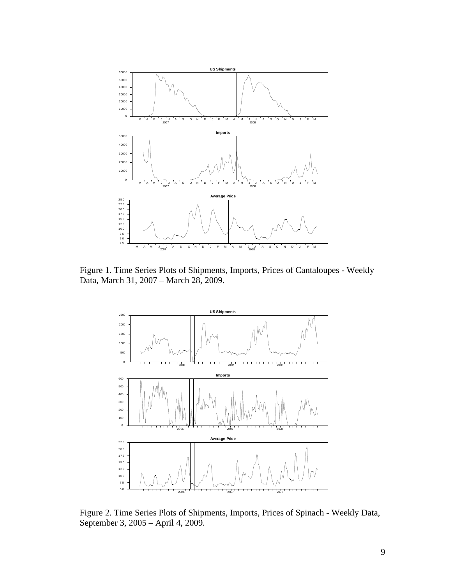

Figure 1. Time Series Plots of Shipments, Imports, Prices of Cantaloupes - Weekly Data, March 31, 2007 – March 28, 2009.



Figure 2. Time Series Plots of Shipments, Imports, Prices of Spinach - Weekly Data, September 3, 2005 – April 4, 2009.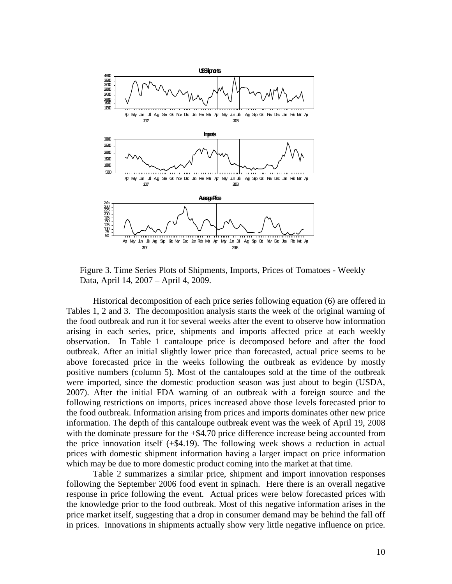

Figure 3. Time Series Plots of Shipments, Imports, Prices of Tomatoes - Weekly Data, April 14, 2007 – April 4, 2009.

Historical decomposition of each price series following equation (6) are offered in Tables 1, 2 and 3. The decomposition analysis starts the week of the original warning of the food outbreak and run it for several weeks after the event to observe how information arising in each series, price, shipments and imports affected price at each weekly observation. In Table 1 cantaloupe price is decomposed before and after the food outbreak. After an initial slightly lower price than forecasted, actual price seems to be above forecasted price in the weeks following the outbreak as evidence by mostly positive numbers (column 5). Most of the cantaloupes sold at the time of the outbreak were imported, since the domestic production season was just about to begin (USDA, 2007). After the initial FDA warning of an outbreak with a foreign source and the following restrictions on imports, prices increased above those levels forecasted prior to the food outbreak. Information arising from prices and imports dominates other new price information. The depth of this cantaloupe outbreak event was the week of April 19, 2008 with the dominate pressure for the  $+$ \$4.70 price difference increase being accounted from the price innovation itself (+\$4.19). The following week shows a reduction in actual prices with domestic shipment information having a larger impact on price information which may be due to more domestic product coming into the market at that time.

 Table 2 summarizes a similar price, shipment and import innovation responses following the September 2006 food event in spinach. Here there is an overall negative response in price following the event. Actual prices were below forecasted prices with the knowledge prior to the food outbreak. Most of this negative information arises in the price market itself, suggesting that a drop in consumer demand may be behind the fall off in prices. Innovations in shipments actually show very little negative influence on price.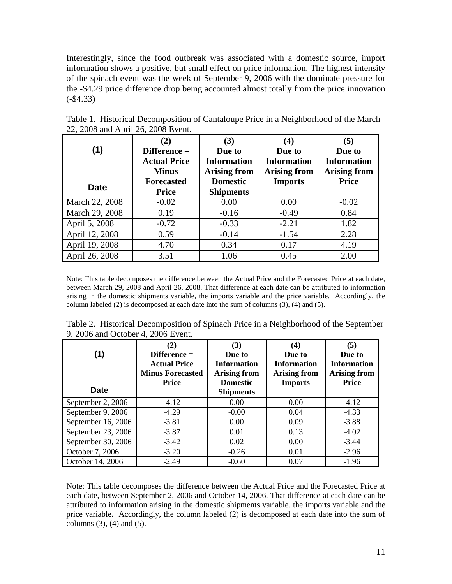Interestingly, since the food outbreak was associated with a domestic source, import information shows a positive, but small effect on price information. The highest intensity of the spinach event was the week of September 9, 2006 with the dominate pressure for the -\$4.29 price difference drop being accounted almost totally from the price innovation (-\$4.33)

| (1)            | (2)<br>$Difference =$<br><b>Actual Price</b><br><b>Minus</b> | (3)<br>Due to<br><b>Information</b><br><b>Arising from</b> | (4)<br>Due to<br><b>Information</b><br><b>Arising from</b> | (5)<br>Due to<br><b>Information</b><br><b>Arising from</b> |
|----------------|--------------------------------------------------------------|------------------------------------------------------------|------------------------------------------------------------|------------------------------------------------------------|
| <b>Date</b>    | <b>Forecasted</b><br><b>Price</b>                            | <b>Domestic</b><br><b>Shipments</b>                        | <b>Imports</b>                                             | <b>Price</b>                                               |
| March 22, 2008 | $-0.02$                                                      | 0.00                                                       | 0.00                                                       | $-0.02$                                                    |
| March 29, 2008 | 0.19                                                         | $-0.16$                                                    | $-0.49$                                                    | 0.84                                                       |
| April 5, 2008  | $-0.72$                                                      | $-0.33$                                                    | $-2.21$                                                    | 1.82                                                       |
| April 12, 2008 | 0.59                                                         | $-0.14$                                                    | $-1.54$                                                    | 2.28                                                       |
| April 19, 2008 | 4.70                                                         | 0.34                                                       | 0.17                                                       | 4.19                                                       |
| April 26, 2008 | 3.51                                                         | 1.06                                                       | 0.45                                                       | 2.00                                                       |

Table 1. Historical Decomposition of Cantaloupe Price in a Neighborhood of the March 22, 2008 and April 26, 2008 Event.

Note: This table decomposes the difference between the Actual Price and the Forecasted Price at each date, between March 29, 2008 and April 26, 2008. That difference at each date can be attributed to information arising in the domestic shipments variable, the imports variable and the price variable. Accordingly, the column labeled (2) is decomposed at each date into the sum of columns (3), (4) and (5).

| (1)<br><b>Date</b>   | (2)<br>$Difference =$<br><b>Actual Price</b><br><b>Minus Forecasted</b><br><b>Price</b> | (3)<br>Due to<br><b>Information</b><br><b>Arising from</b><br><b>Domestic</b><br><b>Shipments</b> | (4)<br>Due to<br><b>Information</b><br><b>Arising from</b><br><b>Imports</b> | (5)<br>Due to<br><b>Information</b><br><b>Arising from</b><br><b>Price</b> |
|----------------------|-----------------------------------------------------------------------------------------|---------------------------------------------------------------------------------------------------|------------------------------------------------------------------------------|----------------------------------------------------------------------------|
| September 2, 2006    | $-4.12$                                                                                 | 0.00                                                                                              | 0.00                                                                         | $-4.12$                                                                    |
| September 9, 2006    | $-4.29$                                                                                 | $-0.00$                                                                                           | 0.04                                                                         | $-4.33$                                                                    |
| September 16, 2006   | $-3.81$                                                                                 | 0.00                                                                                              | 0.09                                                                         | $-3.88$                                                                    |
| September $23, 2006$ | $-3.87$                                                                                 | 0.01                                                                                              | 0.13                                                                         | $-4.02$                                                                    |
| September 30, 2006   | $-3.42$                                                                                 | 0.02                                                                                              | 0.00                                                                         | $-3.44$                                                                    |
| October 7, 2006      | $-3.20$                                                                                 | $-0.26$                                                                                           | 0.01                                                                         | $-2.96$                                                                    |
| October 14, 2006     | $-2.49$                                                                                 | $-0.60$                                                                                           | 0.07                                                                         | $-1.96$                                                                    |

Table 2. Historical Decomposition of Spinach Price in a Neighborhood of the September 9, 2006 and October 4, 2006 Event.

Note: This table decomposes the difference between the Actual Price and the Forecasted Price at each date, between September 2, 2006 and October 14, 2006. That difference at each date can be attributed to information arising in the domestic shipments variable, the imports variable and the price variable. Accordingly, the column labeled (2) is decomposed at each date into the sum of columns  $(3)$ ,  $(4)$  and  $(5)$ .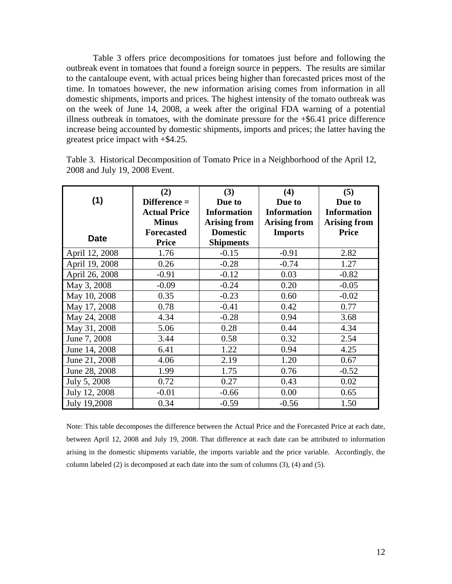Table 3 offers price decompositions for tomatoes just before and following the outbreak event in tomatoes that found a foreign source in peppers. The results are similar to the cantaloupe event, with actual prices being higher than forecasted prices most of the time. In tomatoes however, the new information arising comes from information in all domestic shipments, imports and prices. The highest intensity of the tomato outbreak was on the week of June 14, 2008, a week after the original FDA warning of a potential illness outbreak in tomatoes, with the dominate pressure for the  $+$ \$6.41 price difference increase being accounted by domestic shipments, imports and prices; the latter having the greatest price impact with +\$4.25.

|                | (2)                 | (3)                 | (4)                 | (5)                 |
|----------------|---------------------|---------------------|---------------------|---------------------|
| (1)            | Difference =        | Due to              | Due to              | Due to              |
|                | <b>Actual Price</b> | <b>Information</b>  | <b>Information</b>  | <b>Information</b>  |
|                | <b>Minus</b>        | <b>Arising from</b> | <b>Arising from</b> | <b>Arising from</b> |
| <b>Date</b>    | <b>Forecasted</b>   | <b>Domestic</b>     | <b>Imports</b>      | <b>Price</b>        |
|                | <b>Price</b>        | <b>Shipments</b>    |                     |                     |
| April 12, 2008 | 1.76                | $-0.15$             | $-0.91$             | 2.82                |
| April 19, 2008 | 0.26                | $-0.28$             | $-0.74$             | 1.27                |
| April 26, 2008 | $-0.91$             | $-0.12$             | 0.03                | $-0.82$             |
| May 3, 2008    | $-0.09$             | $-0.24$             | 0.20                | $-0.05$             |
| May 10, 2008   | 0.35                | $-0.23$             | 0.60                | $-0.02$             |
| May 17, 2008   | 0.78                | $-0.41$             | 0.42                | 0.77                |
| May 24, 2008   | 4.34                | $-0.28$             | 0.94                | 3.68                |
| May 31, 2008   | 5.06                | 0.28                | 0.44                | 4.34                |
| June 7, 2008   | 3.44                | 0.58                | 0.32                | 2.54                |
| June 14, 2008  | 6.41                | 1.22                | 0.94                | 4.25                |
| June 21, 2008  | 4.06                | 2.19                | 1.20                | 0.67                |
| June 28, 2008  | 1.99                | 1.75                | 0.76                | $-0.52$             |
| July 5, 2008   | 0.72                | 0.27                | 0.43                | 0.02                |
| July 12, 2008  | $-0.01$             | $-0.66$             | 0.00                | 0.65                |
| July 19,2008   | 0.34                | $-0.59$             | $-0.56$             | 1.50                |

Table 3. Historical Decomposition of Tomato Price in a Neighborhood of the April 12, 2008 and July 19, 2008 Event.

Note: This table decomposes the difference between the Actual Price and the Forecasted Price at each date, between April 12, 2008 and July 19, 2008. That difference at each date can be attributed to information arising in the domestic shipments variable, the imports variable and the price variable. Accordingly, the column labeled (2) is decomposed at each date into the sum of columns (3), (4) and (5).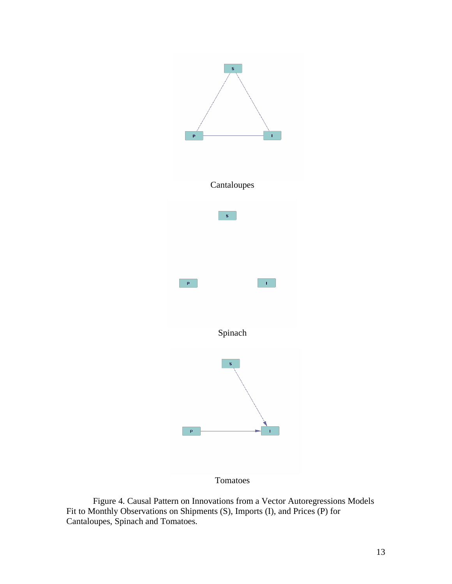

Tomatoes

Figure 4. Causal Pattern on Innovations from a Vector Autoregressions Models Fit to Monthly Observations on Shipments (S), Imports (I), and Prices (P) for Cantaloupes, Spinach and Tomatoes.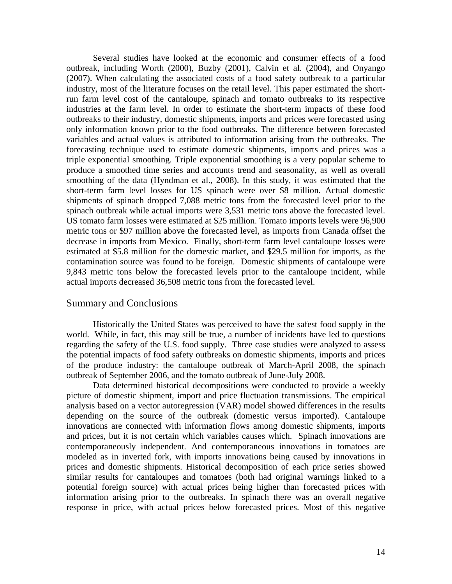Several studies have looked at the economic and consumer effects of a food outbreak, including Worth (2000), Buzby (2001), Calvin et al. (2004), and Onyango (2007). When calculating the associated costs of a food safety outbreak to a particular industry, most of the literature focuses on the retail level. This paper estimated the shortrun farm level cost of the cantaloupe, spinach and tomato outbreaks to its respective industries at the farm level. In order to estimate the short-term impacts of these food outbreaks to their industry, domestic shipments, imports and prices were forecasted using only information known prior to the food outbreaks. The difference between forecasted variables and actual values is attributed to information arising from the outbreaks. The forecasting technique used to estimate domestic shipments, imports and prices was a triple exponential smoothing. Triple exponential smoothing is a very popular scheme to produce a smoothed time series and accounts trend and seasonality, as well as overall smoothing of the data (Hyndman et al., 2008). In this study, it was estimated that the short-term farm level losses for US spinach were over \$8 million. Actual domestic shipments of spinach dropped 7,088 metric tons from the forecasted level prior to the spinach outbreak while actual imports were 3,531 metric tons above the forecasted level. US tomato farm losses were estimated at \$25 million. Tomato imports levels were 96,900 metric tons or \$97 million above the forecasted level, as imports from Canada offset the decrease in imports from Mexico. Finally, short-term farm level cantaloupe losses were estimated at \$5.8 million for the domestic market, and \$29.5 million for imports, as the contamination source was found to be foreign. Domestic shipments of cantaloupe were 9,843 metric tons below the forecasted levels prior to the cantaloupe incident, while actual imports decreased 36,508 metric tons from the forecasted level.

#### Summary and Conclusions

Historically the United States was perceived to have the safest food supply in the world. While, in fact, this may still be true, a number of incidents have led to questions regarding the safety of the U.S. food supply. Three case studies were analyzed to assess the potential impacts of food safety outbreaks on domestic shipments, imports and prices of the produce industry: the cantaloupe outbreak of March-April 2008, the spinach outbreak of September 2006, and the tomato outbreak of June-July 2008.

Data determined historical decompositions were conducted to provide a weekly picture of domestic shipment, import and price fluctuation transmissions. The empirical analysis based on a vector autoregression (VAR) model showed differences in the results depending on the source of the outbreak (domestic versus imported). Cantaloupe innovations are connected with information flows among domestic shipments, imports and prices, but it is not certain which variables causes which. Spinach innovations are contemporaneously independent. And contemporaneous innovations in tomatoes are modeled as in inverted fork, with imports innovations being caused by innovations in prices and domestic shipments. Historical decomposition of each price series showed similar results for cantaloupes and tomatoes (both had original warnings linked to a potential foreign source) with actual prices being higher than forecasted prices with information arising prior to the outbreaks. In spinach there was an overall negative response in price, with actual prices below forecasted prices. Most of this negative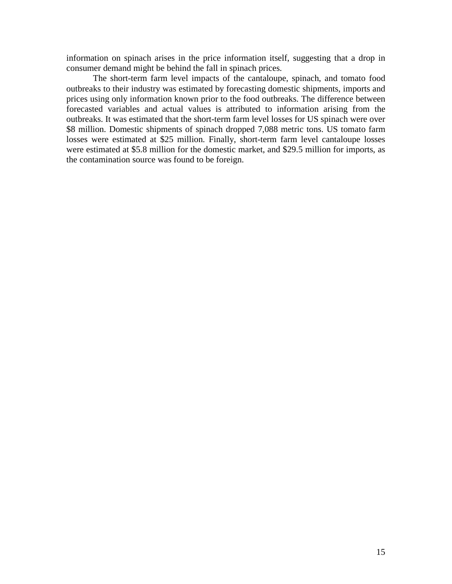information on spinach arises in the price information itself, suggesting that a drop in consumer demand might be behind the fall in spinach prices.

The short-term farm level impacts of the cantaloupe, spinach, and tomato food outbreaks to their industry was estimated by forecasting domestic shipments, imports and prices using only information known prior to the food outbreaks. The difference between forecasted variables and actual values is attributed to information arising from the outbreaks. It was estimated that the short-term farm level losses for US spinach were over \$8 million. Domestic shipments of spinach dropped 7,088 metric tons. US tomato farm losses were estimated at \$25 million. Finally, short-term farm level cantaloupe losses were estimated at \$5.8 million for the domestic market, and \$29.5 million for imports, as the contamination source was found to be foreign.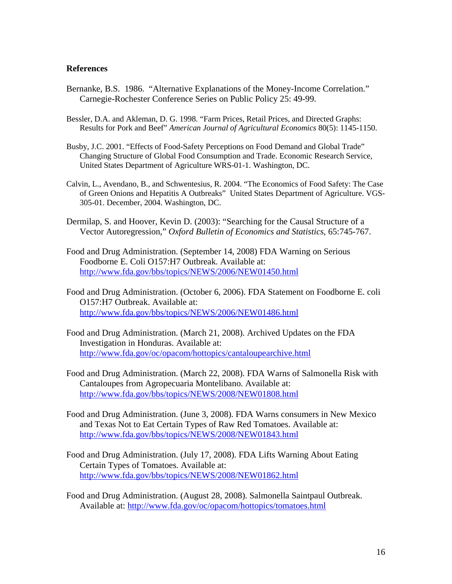#### **References**

- Bernanke, B.S. 1986. "Alternative Explanations of the Money-Income Correlation." Carnegie-Rochester Conference Series on Public Policy 25: 49-99.
- Bessler, D.A. and Akleman, D. G. 1998. "Farm Prices, Retail Prices, and Directed Graphs: Results for Pork and Beef" *American Journal of Agricultural Economics* 80(5): 1145-1150.
- Busby, J.C. 2001. "Effects of Food-Safety Perceptions on Food Demand and Global Trade" Changing Structure of Global Food Consumption and Trade. Economic Research Service, United States Department of Agriculture WRS-01-1. Washington, DC.
- Calvin, L., Avendano, B., and Schwentesius, R. 2004. "The Economics of Food Safety: The Case of Green Onions and Hepatitis A Outbreaks" United States Department of Agriculture. VGS-305-01. December, 2004. Washington, DC.
- Dermilap, S. and Hoover, Kevin D. (2003): "Searching for the Causal Structure of a Vector Autoregression," *Oxford Bulletin of Economics and Statistics*, 65:745-767.
- Food and Drug Administration. (September 14, 2008) FDA Warning on Serious Foodborne E. Coli O157:H7 Outbreak. Available at: http://www.fda.gov/bbs/topics/NEWS/2006/NEW01450.html
- Food and Drug Administration. (October 6, 2006). FDA Statement on Foodborne E. coli O157:H7 Outbreak. Available at: http://www.fda.gov/bbs/topics/NEWS/2006/NEW01486.html
- Food and Drug Administration. (March 21, 2008). Archived Updates on the FDA Investigation in Honduras. Available at: http://www.fda.gov/oc/opacom/hottopics/cantaloupearchive.html
- Food and Drug Administration. (March 22, 2008). FDA Warns of Salmonella Risk with Cantaloupes from Agropecuaria Montelibano. Available at: http://www.fda.gov/bbs/topics/NEWS/2008/NEW01808.html
- Food and Drug Administration. (June 3, 2008). FDA Warns consumers in New Mexico and Texas Not to Eat Certain Types of Raw Red Tomatoes. Available at: http://www.fda.gov/bbs/topics/NEWS/2008/NEW01843.html
- Food and Drug Administration. (July 17, 2008). FDA Lifts Warning About Eating Certain Types of Tomatoes. Available at: http://www.fda.gov/bbs/topics/NEWS/2008/NEW01862.html
- Food and Drug Administration. (August 28, 2008). Salmonella Saintpaul Outbreak. Available at: http://www.fda.gov/oc/opacom/hottopics/tomatoes.html